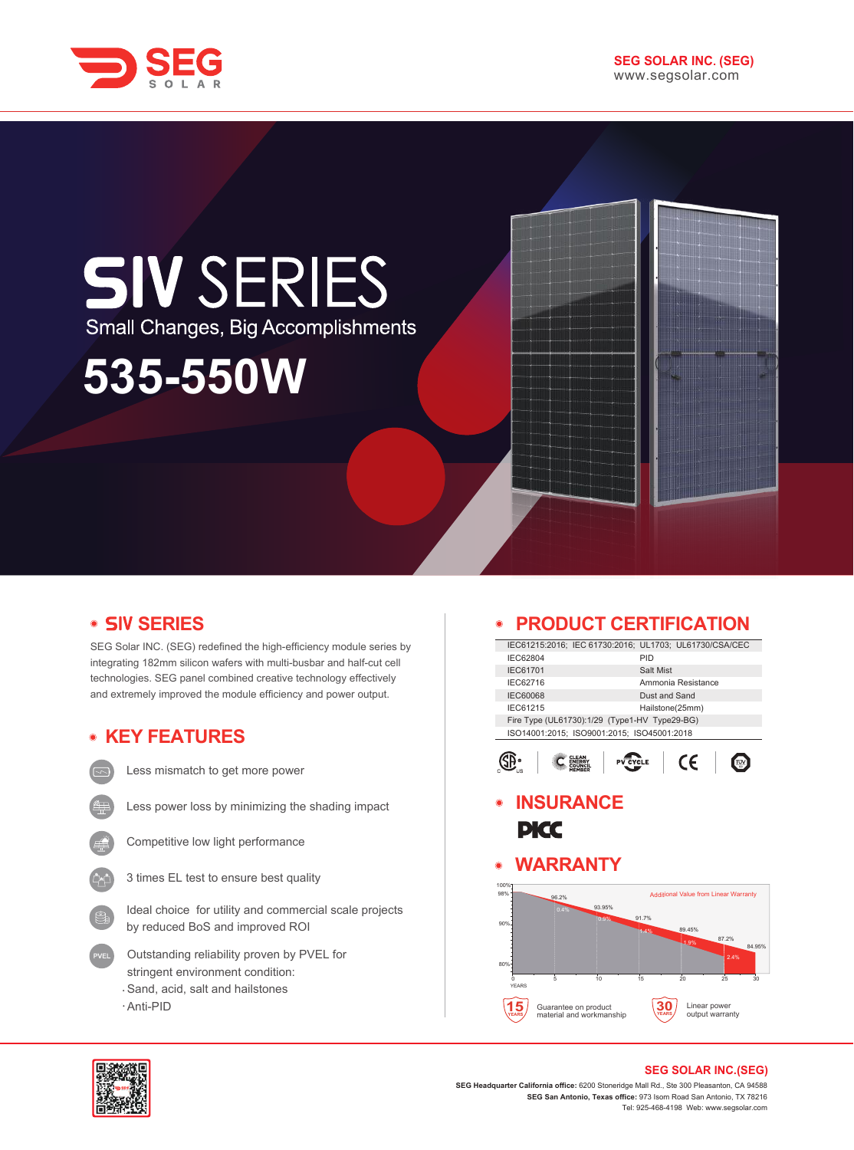

# **SIV SERIES** Small Changes, Big Accomplishments **535-550W**

# **• SIV SERIES**

SEG Solar INC. (SEG) redefined the high-efficiency module series by integrating 182mm silicon wafers with multi-busbar and half-cut cell technologies. SEG panel combined creative technology effectively and extremely improved the module efficiency and power output.

# **KEY FEATURES**

Less mismatch to get more power

- Less power loss by minimizing the shading impact
- - Competitive low light performance
	- 3 times EL test to ensure best quality
	- Ideal choice for utility and commercial scale projects by reduced BoS and improved ROI
	- Outstanding reliability proven by PVEL for stringent environment condition: Sand, acid, salt and hailstones
	- Anti-PID

#### **PRODUCT CERTIFICATION**  $\bullet$

|                                               | IEC61215:2016: IEC 61730:2016: UL1703: UL61730/CSA/CEC |  |  |  |
|-----------------------------------------------|--------------------------------------------------------|--|--|--|
| IEC62804                                      | PID                                                    |  |  |  |
| <b>IEC61701</b>                               | Salt Mist                                              |  |  |  |
| IEC62716                                      | Ammonia Resistance                                     |  |  |  |
| <b>IEC60068</b>                               | Dust and Sand                                          |  |  |  |
| IEC61215                                      | Hailstone(25mm)                                        |  |  |  |
| Fire Type (UL61730):1/29 (Type1-HV Type29-BG) |                                                        |  |  |  |
| ISO14001:2015; ISO9001:2015; ISO45001:2018    |                                                        |  |  |  |
|                                               |                                                        |  |  |  |
|                                               | ΄ 6<br><b>PV CYCLE</b>                                 |  |  |  |
|                                               |                                                        |  |  |  |

**INSURANCE**  $\bullet$ **PICC** 

# **WARRANTY**





#### **SEG SOLAR INC.(SEG)**

**SEG Headquarter California office:** 6200 Stoneridge Mall Rd., Ste 300 Pleasanton, CA 94588 **SEG San Antonio, Texas office:** 973 Isom Road San Antonio, TX 78216 Tel: 925-468-4198 Web: www.segsolar.com